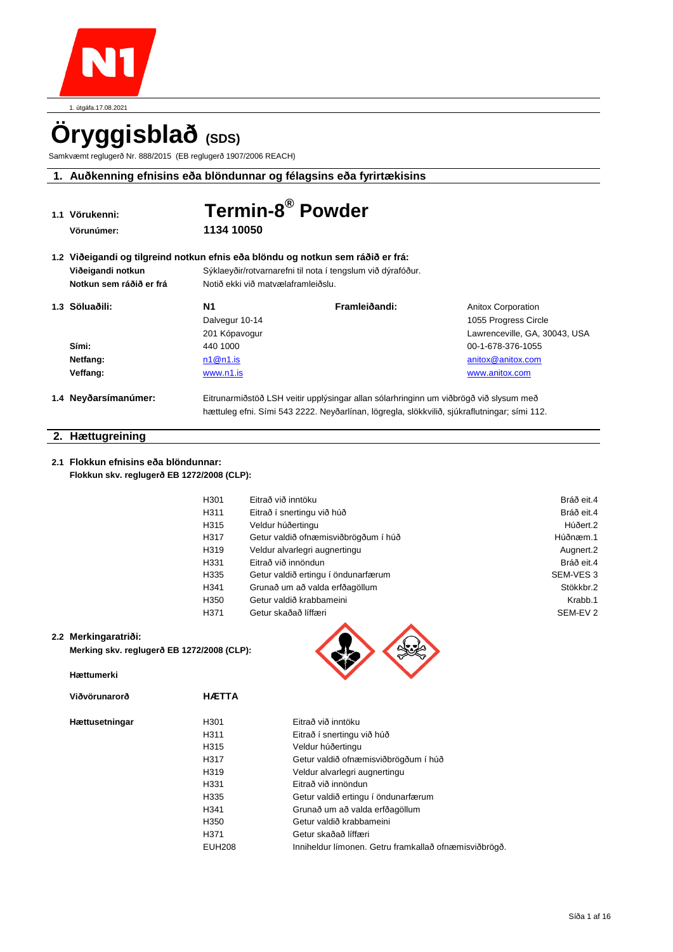

1. útgáfa.17.08.2021

# **Öryggisblað (SDS)**

Samkvæmt reglugerð Nr. 888/2015 (EB reglugerð 1907/2006 REACH)

# **1. Auðkenning efnisins eða blöndunnar og félagsins eða fyrirtækisins**

| 1.1 Vörukenni:                                                                  | Termin-8 <sup>®</sup> Powder                                |                                                                                       |                               |
|---------------------------------------------------------------------------------|-------------------------------------------------------------|---------------------------------------------------------------------------------------|-------------------------------|
| Vörunúmer:                                                                      | 1134 10050                                                  |                                                                                       |                               |
| 1.2 Viðeigandi og tilgreind notkun efnis eða blöndu og notkun sem ráðið er frá: |                                                             |                                                                                       |                               |
| Viðeigandi notkun                                                               | Sýklaeyðir/rotvarnarefni til nota í tengslum við dýrafóður. |                                                                                       |                               |
| Notkun sem ráðið er frá                                                         | Notið ekki við matvælaframleiðslu.                          |                                                                                       |                               |
| 1.3 Söluaðili:                                                                  | N1                                                          | Framleiðandi:                                                                         | <b>Anitox Corporation</b>     |
|                                                                                 | Dalvegur 10-14                                              |                                                                                       | 1055 Progress Circle          |
|                                                                                 | 201 Kópavogur                                               |                                                                                       | Lawrenceville, GA, 30043, USA |
| Sími:                                                                           | 440 1000                                                    |                                                                                       | 00-1-678-376-1055             |
| Netfang:                                                                        | n1@n1.is                                                    |                                                                                       | anitox@anitox.com             |
| Veffang:                                                                        | www.n1.is                                                   |                                                                                       | www.anitox.com                |
| 1.4 Neyðarsímanúmer:                                                            |                                                             | Eitrunarmiðstöð LSH veitir upplýsingar allan sólarhringinn um viðbrögð við slysum með |                               |

### **2. Hættugreining**

#### **2.1 Flokkun efnisins eða blöndunnar: Flokkun skv. reglugerð EB 1272/2008 (CLP):**

| H301 | Eitrað við inntöku                   | Bráð eit.4          |
|------|--------------------------------------|---------------------|
| H311 | Eitrað í snertingu við húð           | Bráð eit.4          |
| H315 | Veldur húðertingu                    | Húðert.2            |
| H317 | Getur valdið ofnæmisviðbrögðum í húð | Húðnæm.1            |
| H319 | Veldur alvarlegri augnertingu        | Augnert.2           |
| H331 | Eitrað við innöndun                  | Bráð eit.4          |
| H335 | Getur valdið ertingu í öndunarfærum  | SEM-VES 3           |
| H341 | Grunað um að valda erfðagöllum       | Stökkbr.2           |
| H350 | Getur valdið krabbameini             | Krabb.1             |
| H371 | Getur skaðað líffæri                 | SEM-EV <sub>2</sub> |
|      |                                      |                     |

#### **2.2 Merkingaratriði:**

**Merking skv. reglugerð EB 1272/2008 (CLP):** 

**Viðvörunarorð HÆTTA**

hættuleg efni. Sími 543 2222. Neyðarlínan, lögregla, slökkvilið, sjúkraflutningar; sími 112.

| Hættumerki |
|------------|
|------------|

| Viðvörunarorð |  |
|---------------|--|
|---------------|--|

**Hættusetningar** 

| H301          | Eitrað við inntöku                                    |
|---------------|-------------------------------------------------------|
| H311          | Eitrað í snertingu við húð                            |
| H315          | Veldur húðertingu                                     |
| H317          | Getur valdið ofnæmisviðbrögðum í húð                  |
| H319          | Veldur alvarlegri augnertingu                         |
| H331          | Eitrað við innöndun                                   |
| H335          | Getur valdið ertingu í öndunarfærum                   |
| H341          | Grunað um að valda erfðagöllum                        |
| H350          | Getur valdið krabbameini                              |
| H371          | Getur skaðað líffæri                                  |
| <b>EUH208</b> | Inniheldur límonen. Getru framkallað ofnæmisviðbrögð. |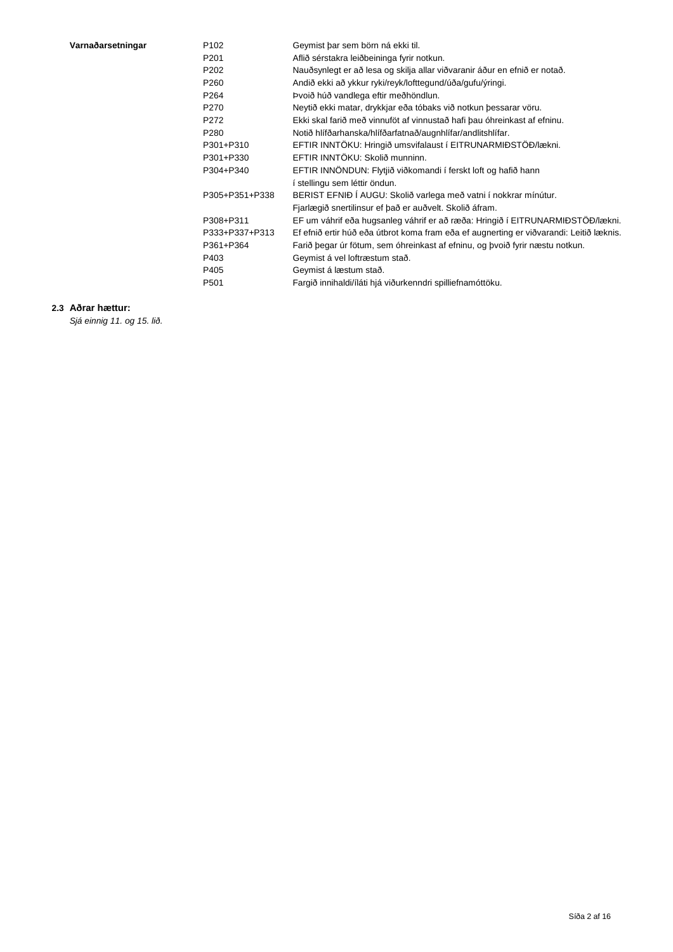| Varnaðarsetningar |  |  |  |  |  |  |
|-------------------|--|--|--|--|--|--|
|-------------------|--|--|--|--|--|--|

| Varnaðarsetningar | P <sub>102</sub> | Geymist þar sem börn ná ekki til.                                                       |
|-------------------|------------------|-----------------------------------------------------------------------------------------|
|                   | P <sub>201</sub> | Aflið sérstakra leiðbeininga fyrir notkun.                                              |
|                   | P <sub>202</sub> | Nauðsynlegt er að lesa og skilja allar viðvaranir áður en efnið er notað.               |
|                   | P <sub>260</sub> | Andið ekki að ykkur ryki/reyk/lofttegund/úða/gufu/ýringi.                               |
|                   | P <sub>264</sub> | Þvoið húð vandlega eftir meðhöndlun.                                                    |
|                   | P270             | Neytið ekki matar, drykkjar eða tóbaks við notkun þessarar vöru.                        |
|                   | P272             | Ekki skal farið með vinnuföt af vinnustað hafi þau óhreinkast af efninu.                |
|                   | P <sub>280</sub> | Notið hlífðarhanska/hlífðarfatnað/augnhlífar/andlitshlífar.                             |
|                   | P301+P310        | EFTIR INNTÖKU: Hringið umsvifalaust í EITRUNARMIÐSTÖÐ/lækni.                            |
|                   | P301+P330        | EFTIR INNTÖKU: Skolið munninn.                                                          |
|                   | P304+P340        | EFTIR INNÖNDUN: Flytjið viðkomandi í ferskt loft og hafið hann                          |
|                   |                  | í stellingu sem léttir öndun.                                                           |
|                   | P305+P351+P338   | BERIST EFNIÐ Í AUGU: Skolið varlega með vatni í nokkrar mínútur.                        |
|                   |                  | Fjarlægið snertilinsur ef það er auðvelt. Skolið áfram.                                 |
|                   | P308+P311        | EF um váhrif eða hugsanleg váhrif er að ræða: Hringið í EITRUNARMIÐSTÖÐ/lækni.          |
|                   | P333+P337+P313   | Ef efnið ertir húð eða útbrot koma fram eða ef augnerting er viðvarandi: Leitið læknis. |
|                   | P361+P364        | Farið þegar úr fötum, sem óhreinkast af efninu, og þvoið fyrir næstu notkun.            |
|                   | P403             | Geymist á vel loftræstum stað.                                                          |
|                   | P405             | Geymist á læstum stað.                                                                  |
|                   | P <sub>501</sub> | Fargið innihaldi/íláti hjá viðurkenndri spilliefnamóttöku.                              |
|                   |                  |                                                                                         |

### **2.3 Aðrar hættur:**

*Sjá einnig 11. og 15. lið.*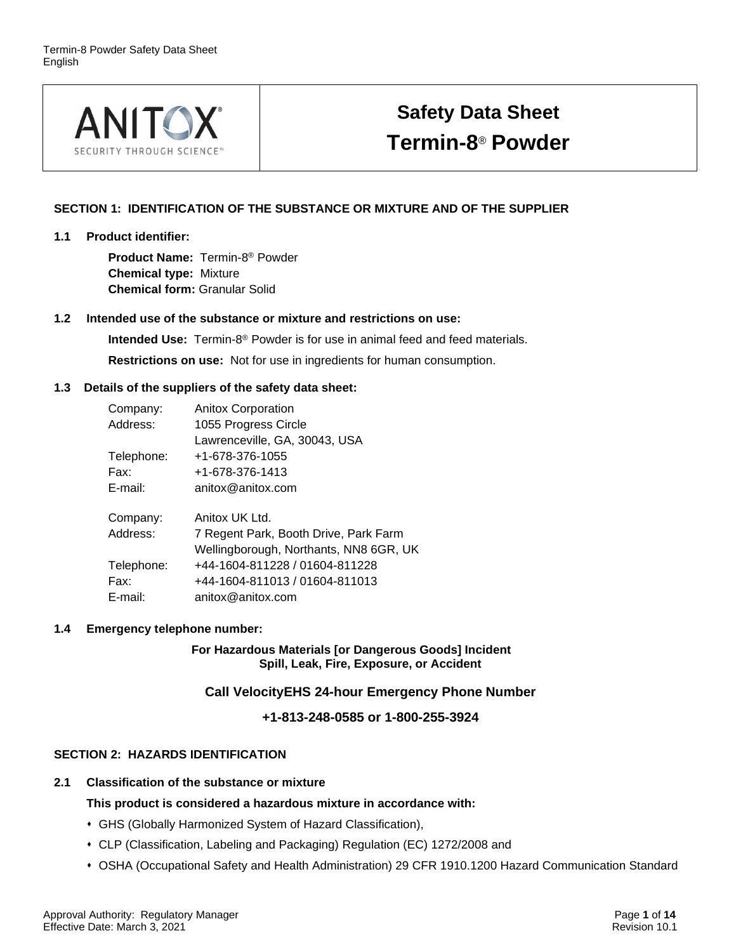

# **Safety Data Sheet Termin-8** ® **Powder**

# **SECTION 1: IDENTIFICATION OF THE SUBSTANCE OR MIXTURE AND OF THE SUPPLIER**

### **1.1 Product identifier:**

**Product Name:** Termin-8 ® Powder **Chemical type:** Mixture **Chemical form:** Granular Solid

# **1.2 Intended use of the substance or mixture and restrictions on use:**

**Intended Use:** Termin-8 ® Powder is for use in animal feed and feed materials. **Restrictions on use:** Not for use in ingredients for human consumption.

# **1.3 Details of the suppliers of the safety data sheet:**

| Company:   | <b>Anitox Corporation</b>              |
|------------|----------------------------------------|
| Address:   | 1055 Progress Circle                   |
|            | Lawrenceville, GA, 30043, USA          |
| Telephone: | +1-678-376-1055                        |
| Fax:       | +1-678-376-1413                        |
| E-mail:    | anitox@anitox.com                      |
| Company:   | Anitox UK Ltd.                         |
| Address:   | 7 Regent Park, Booth Drive, Park Farm  |
|            | Wellingborough, Northants, NN8 6GR, UK |
| Telephone: | +44-1604-811228 / 01604-811228         |
| Fax:       | +44-1604-811013 / 01604-811013         |
| E-mail:    | anitox@anitox.com                      |
|            |                                        |

# **1.4 Emergency telephone number:**

**For Hazardous Materials [or Dangerous Goods] Incident Spill, Leak, Fire, Exposure, or Accident**

**Call VelocityEHS 24-hour Emergency Phone Number**

**+1-813-248-0585 or 1-800-255-3924**

# **SECTION 2: HAZARDS IDENTIFICATION**

# **2.1 Classification of the substance or mixture**

# **This product is considered a hazardous mixture in accordance with:**

- ⬧ GHS (Globally Harmonized System of Hazard Classification),
- ⬧ CLP (Classification, Labeling and Packaging) Regulation (EC) 1272/2008 and
- ⬧ OSHA (Occupational Safety and Health Administration) 29 CFR 1910.1200 Hazard Communication Standard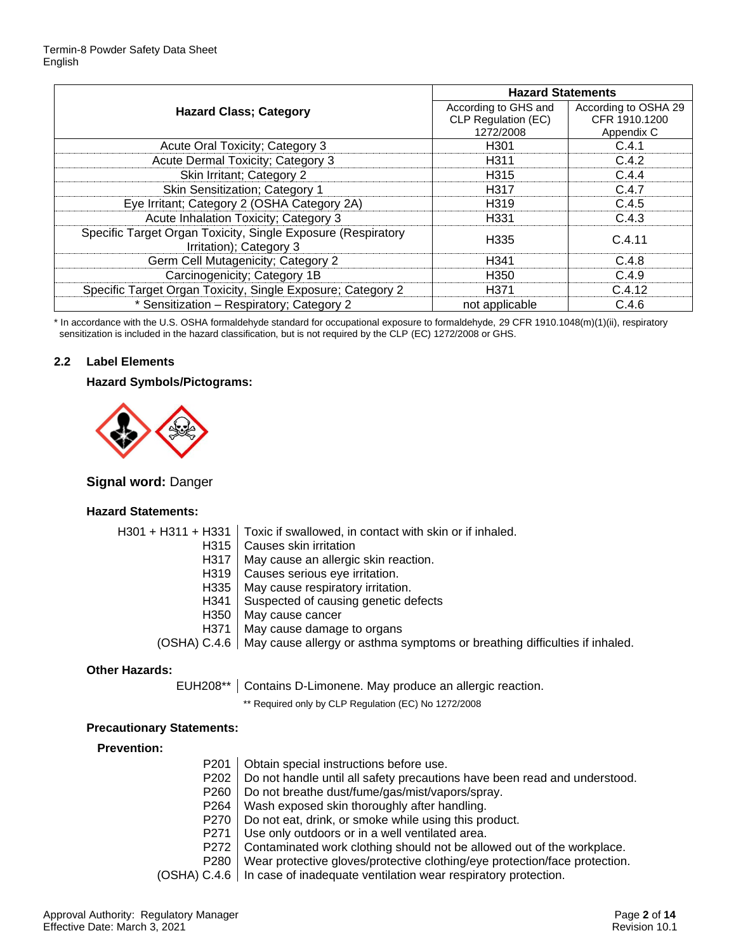|                                                                                         | <b>Hazard Statements</b> |                      |
|-----------------------------------------------------------------------------------------|--------------------------|----------------------|
| <b>Hazard Class; Category</b>                                                           | According to GHS and     | According to OSHA 29 |
|                                                                                         | CLP Regulation (EC)      | CFR 1910.1200        |
|                                                                                         | 1272/2008                | Appendix C           |
| Acute Oral Toxicity; Category 3                                                         | H301                     | C.4.1                |
| Acute Dermal Toxicity; Category 3                                                       | H311                     | C.4.2                |
| Skin Irritant; Category 2                                                               | H <sub>315</sub>         | C.4.4                |
| <b>Skin Sensitization; Category 1</b>                                                   | H317                     | C.4.7                |
| Eye Irritant; Category 2 (OSHA Category 2A)                                             | H319                     | C.4.5                |
| Acute Inhalation Toxicity; Category 3                                                   | H331                     | C.4.3                |
| Specific Target Organ Toxicity, Single Exposure (Respiratory<br>Irritation); Category 3 | H335                     | C.4.11               |
| Germ Cell Mutagenicity; Category 2                                                      | H341                     | C.4.8                |
| Carcinogenicity; Category 1B                                                            | H350                     | C.4.9                |
| Specific Target Organ Toxicity, Single Exposure; Category 2                             | H371                     | C.4.12               |
| * Sensitization - Respiratory; Category 2                                               | not applicable           | C.4.6                |

\* In accordance with the U.S. OSHA formaldehyde standard for occupational exposure to formaldehyde, 29 CFR 1910.1048(m)(1)(ii), respiratory sensitization is included in the hazard classification, but is not required by the CLP (EC) 1272/2008 or GHS.

# **2.2 Label Elements**

#### **Hazard Symbols/Pictograms:**



# **Signal word:** Danger

#### **Hazard Statements:**

| $H301 + H311 + H331$ | Toxic if swallowed, in contact with skin or if inhaled.                                   |
|----------------------|-------------------------------------------------------------------------------------------|
| H <sub>315</sub>     | Causes skin irritation                                                                    |
| H317                 | May cause an allergic skin reaction.                                                      |
| H319                 | Causes serious eye irritation.                                                            |
| H <sub>335</sub>     | May cause respiratory irritation.                                                         |
| H341                 | Suspected of causing genetic defects                                                      |
| H <sub>350</sub>     | May cause cancer                                                                          |
| H371                 | May cause damage to organs                                                                |
|                      | (OSHA) C.4.6   May cause allergy or asthma symptoms or breathing difficulties if inhaled. |
|                      |                                                                                           |

#### **Other Hazards:**

EUH208\*\* | Contains D-Limonene. May produce an allergic reaction.

\*\* Required only by CLP Regulation (EC) No 1272/2008

#### **Precautionary Statements:**

#### **Prevention:**

|                  | P201   Obtain special instructions before use.                                                                            |
|------------------|---------------------------------------------------------------------------------------------------------------------------|
|                  | P202   Do not handle until all safety precautions have been read and understood.                                          |
| P260 L           | Do not breathe dust/fume/gas/mist/vapors/spray.                                                                           |
| P <sub>264</sub> | Wash exposed skin thoroughly after handling.                                                                              |
|                  | P270   Do not eat, drink, or smoke while using this product.                                                              |
| P271             | Use only outdoors or in a well ventilated area.                                                                           |
|                  | P272   Contaminated work clothing should not be allowed out of the workplace.                                             |
|                  | P280   Wear protective gloves/protective clothing/eye protection/face protection.                                         |
|                  | $\Lambda$ $\Omega$ $\Lambda$ $\Omega$ . For a set of formula contractive contraction of the formula structure of $\Omega$ |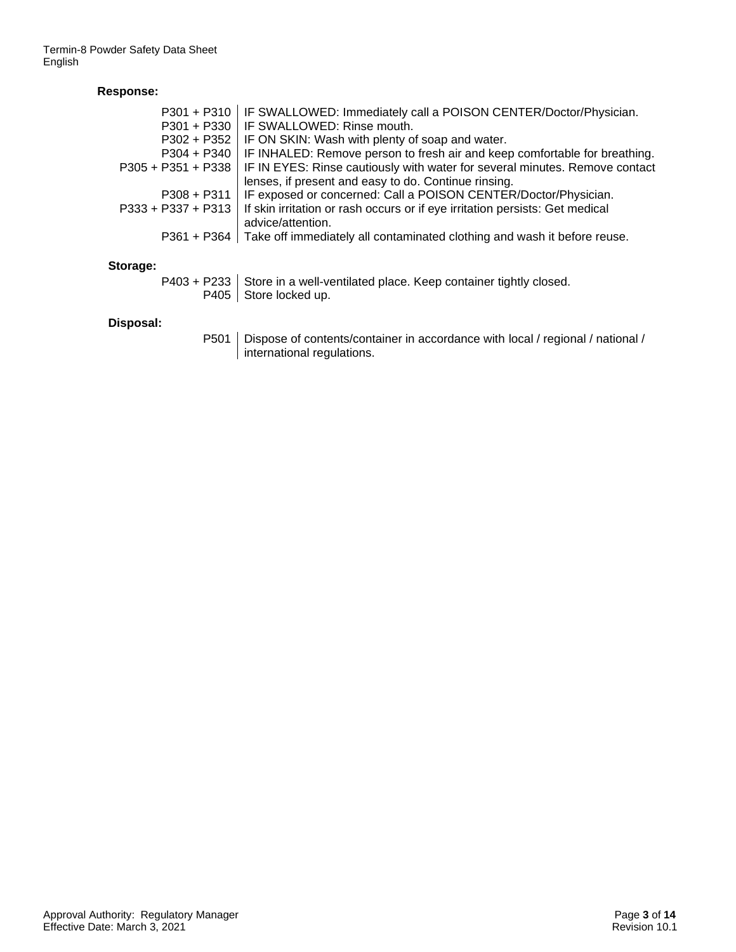# **Response:**

| $P301 + P310$        | IF SWALLOWED: Immediately call a POISON CENTER/Doctor/Physician.                                  |
|----------------------|---------------------------------------------------------------------------------------------------|
| $P301 + P330$        | IF SWALLOWED: Rinse mouth.                                                                        |
| $P302 + P352$        | IF ON SKIN: Wash with plenty of soap and water.                                                   |
| $P304 + P340$        | IF INHALED: Remove person to fresh air and keep comfortable for breathing.                        |
| $P305 + P351 + P338$ | IF IN EYES: Rinse cautiously with water for several minutes. Remove contact                       |
|                      | lenses, if present and easy to do. Continue rinsing.                                              |
| $P308 + P311$        | IF exposed or concerned: Call a POISON CENTER/Doctor/Physician.                                   |
| $P333 + P337 + P313$ | If skin irritation or rash occurs or if eye irritation persists: Get medical<br>advice/attention. |
|                      | P361 + P364   Take off immediately all contaminated clothing and wash it before reuse.            |
| Storage:             |                                                                                                   |
|                      | P403 + P233   Store in a well-ventilated place. Keep container tightly closed.                    |
|                      | P405   Store locked up.                                                                           |
| Dienosal·            |                                                                                                   |

# **Disposal:**

P501 | Dispose of contents/container in accordance with local / regional / national / international regulations.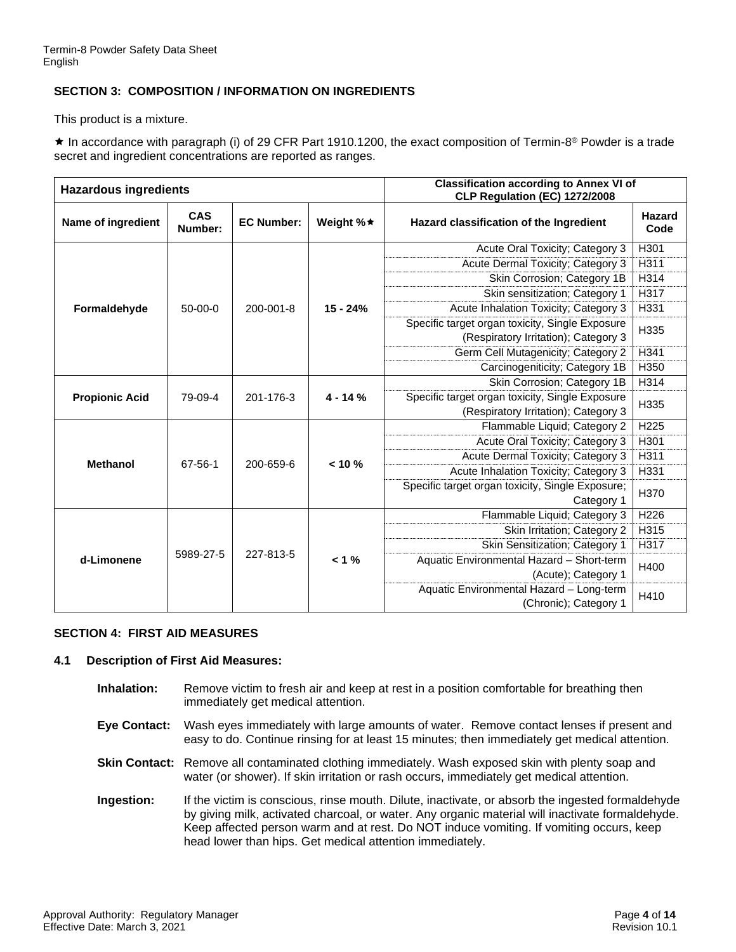# **SECTION 3: COMPOSITION / INFORMATION ON INGREDIENTS**

This product is a mixture.

 $\star$  In accordance with paragraph (i) of 29 CFR Part 1910.1200, the exact composition of Termin-8<sup>®</sup> Powder is a trade secret and ingredient concentrations are reported as ranges.

| <b>Hazardous ingredients</b> |                |                   | <b>Classification according to Annex VI of</b><br>CLP Regulation (EC) 1272/2008 |                                                  |                  |  |
|------------------------------|----------------|-------------------|---------------------------------------------------------------------------------|--------------------------------------------------|------------------|--|
| Name of ingredient           | CAS<br>Number: | <b>EC Number:</b> | Weight %★                                                                       | Hazard classification of the Ingredient          | Hazard<br>Code   |  |
|                              |                |                   |                                                                                 | Acute Oral Toxicity; Category 3                  | H301             |  |
|                              |                |                   |                                                                                 | Acute Dermal Toxicity; Category 3                | H311             |  |
|                              |                |                   |                                                                                 | Skin Corrosion; Category 1B                      | H314             |  |
|                              |                |                   |                                                                                 | Skin sensitization; Category 1                   | H317             |  |
| Formaldehyde                 | $50-00-0$      | $200 - 001 - 8$   | $15 - 24%$                                                                      | Acute Inhalation Toxicity; Category 3            | H331             |  |
|                              |                |                   |                                                                                 | Specific target organ toxicity, Single Exposure  | H335             |  |
|                              |                |                   |                                                                                 | (Respiratory Irritation); Category 3             |                  |  |
|                              |                |                   |                                                                                 | Germ Cell Mutagenicity; Category 2               | H341             |  |
|                              |                |                   |                                                                                 | Carcinogeniticity; Category 1B                   | H350             |  |
| <b>Propionic Acid</b>        |                |                   | $4 - 14%$                                                                       | Skin Corrosion; Category 1B                      | H314             |  |
|                              | 79-09-4        | 201-176-3         |                                                                                 | Specific target organ toxicity, Single Exposure  | H335             |  |
|                              |                |                   |                                                                                 | (Respiratory Irritation); Category 3             |                  |  |
|                              |                |                   | $< 10 \%$                                                                       | Flammable Liquid; Category 2                     | H <sub>225</sub> |  |
|                              |                |                   |                                                                                 | Acute Oral Toxicity; Category 3                  | H301             |  |
| <b>Methanol</b>              | 67-56-1        | 200-659-6         |                                                                                 | Acute Dermal Toxicity; Category 3                | H311             |  |
|                              |                |                   |                                                                                 | Acute Inhalation Toxicity; Category 3            | H331             |  |
|                              |                |                   |                                                                                 | Specific target organ toxicity, Single Exposure; | H370             |  |
|                              |                |                   |                                                                                 | Category 1                                       |                  |  |
| d-Limonene                   |                |                   |                                                                                 | Flammable Liquid; Category 3                     | H226             |  |
|                              |                |                   |                                                                                 | Skin Irritation; Category 2                      | H315             |  |
|                              |                |                   |                                                                                 | Skin Sensitization; Category 1                   | H317             |  |
|                              | 5989-27-5      | 227-813-5         | $< 1 \%$                                                                        | Aquatic Environmental Hazard - Short-term        | H400             |  |
|                              |                |                   |                                                                                 | (Acute); Category 1                              |                  |  |
|                              |                |                   |                                                                                 | Aquatic Environmental Hazard - Long-term         | H410             |  |
|                              |                |                   |                                                                                 | (Chronic); Category 1                            |                  |  |

#### **SECTION 4: FIRST AID MEASURES**

#### **4.1 Description of First Aid Measures:**

- **Inhalation:** Remove victim to fresh air and keep at rest in a position comfortable for breathing then immediately get medical attention.
- **Eye Contact:** Wash eyes immediately with large amounts of water. Remove contact lenses if present and easy to do. Continue rinsing for at least 15 minutes; then immediately get medical attention.
- **Skin Contact:** Remove all contaminated clothing immediately. Wash exposed skin with plenty soap and water (or shower). If skin irritation or rash occurs, immediately get medical attention.
- **Ingestion:** If the victim is conscious, rinse mouth. Dilute, inactivate, or absorb the ingested formaldehyde by giving milk, activated charcoal, or water. Any organic material will inactivate formaldehyde. Keep affected person warm and at rest. Do NOT induce vomiting. If vomiting occurs, keep head lower than hips. Get medical attention immediately.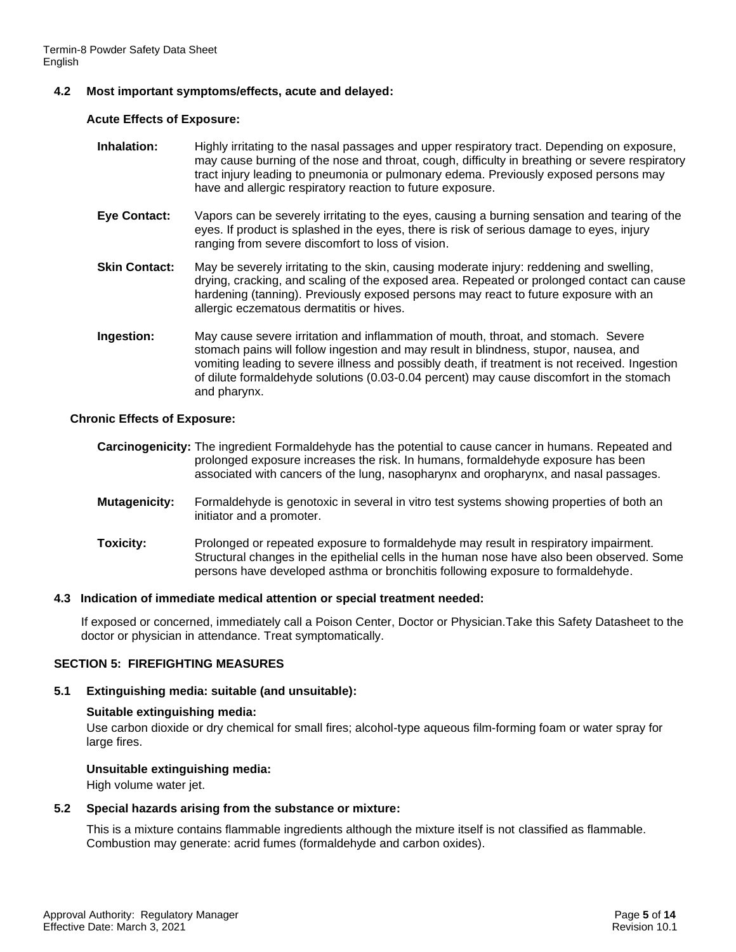# **4.2 Most important symptoms/effects, acute and delayed:**

#### **Acute Effects of Exposure:**

- **Inhalation:** Highly irritating to the nasal passages and upper respiratory tract. Depending on exposure, may cause burning of the nose and throat, cough, difficulty in breathing or severe respiratory tract injury leading to pneumonia or pulmonary edema. Previously exposed persons may have and allergic respiratory reaction to future exposure.
- **Eye Contact:** Vapors can be severely irritating to the eyes, causing a burning sensation and tearing of the eyes. If product is splashed in the eyes, there is risk of serious damage to eyes, injury ranging from severe discomfort to loss of vision.
- **Skin Contact:** May be severely irritating to the skin, causing moderate injury: reddening and swelling, drying, cracking, and scaling of the exposed area. Repeated or prolonged contact can cause hardening (tanning). Previously exposed persons may react to future exposure with an allergic eczematous dermatitis or hives.
- **Ingestion:** May cause severe irritation and inflammation of mouth, throat, and stomach. Severe stomach pains will follow ingestion and may result in blindness, stupor, nausea, and vomiting leading to severe illness and possibly death, if treatment is not received. Ingestion of dilute formaldehyde solutions (0.03-0.04 percent) may cause discomfort in the stomach and pharynx.

#### **Chronic Effects of Exposure:**

- **Carcinogenicity:** The ingredient Formaldehyde has the potential to cause cancer in humans. Repeated and prolonged exposure increases the risk. In humans, formaldehyde exposure has been associated with cancers of the lung, nasopharynx and oropharynx, and nasal passages.
- **Mutagenicity:** Formaldehyde is genotoxic in several in vitro test systems showing properties of both an initiator and a promoter.
- **Toxicity:** Prolonged or repeated exposure to formaldehyde may result in respiratory impairment. Structural changes in the epithelial cells in the human nose have also been observed. Some persons have developed asthma or bronchitis following exposure to formaldehyde.

#### **4.3 Indication of immediate medical attention or special treatment needed:**

If exposed or concerned, immediately call a Poison Center, Doctor or Physician.Take this Safety Datasheet to the doctor or physician in attendance. Treat symptomatically.

#### **SECTION 5: FIREFIGHTING MEASURES**

#### **5.1 Extinguishing media: suitable (and unsuitable):**

#### **Suitable extinguishing media:**

Use carbon dioxide or dry chemical for small fires; alcohol-type aqueous film-forming foam or water spray for large fires.

#### **Unsuitable extinguishing media:**

High volume water jet.

#### **5.2 Special hazards arising from the substance or mixture:**

This is a mixture contains flammable ingredients although the mixture itself is not classified as flammable. Combustion may generate: acrid fumes (formaldehyde and carbon oxides).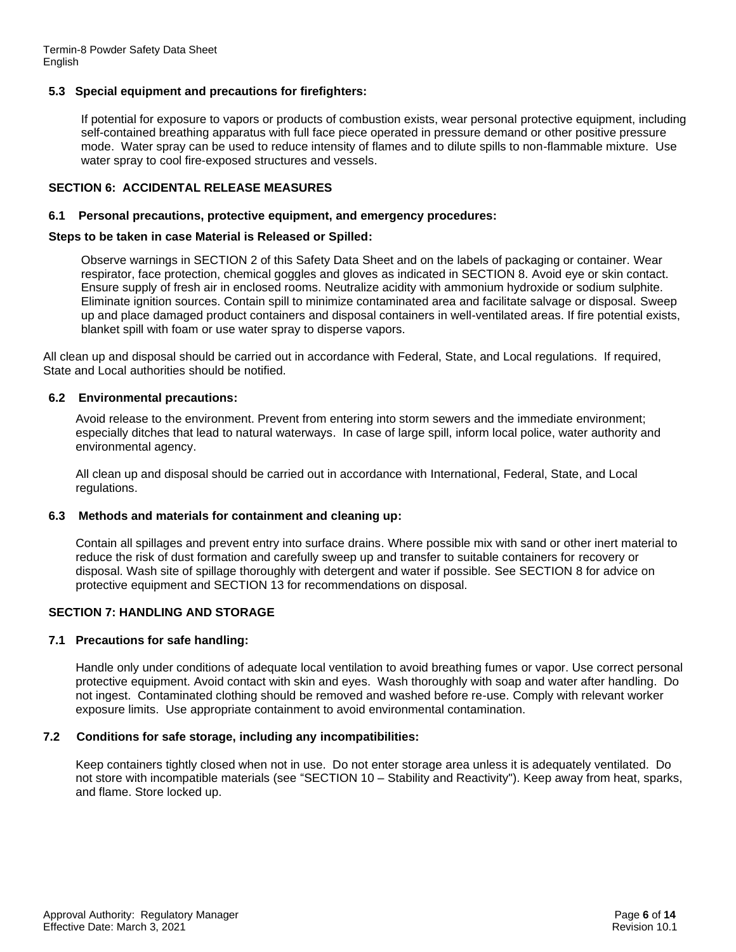# **5.3 Special equipment and precautions for firefighters:**

If potential for exposure to vapors or products of combustion exists, wear personal protective equipment, including self-contained breathing apparatus with full face piece operated in pressure demand or other positive pressure mode. Water spray can be used to reduce intensity of flames and to dilute spills to non-flammable mixture. Use water spray to cool fire-exposed structures and vessels.

# **SECTION 6: ACCIDENTAL RELEASE MEASURES**

#### **6.1 Personal precautions, protective equipment, and emergency procedures:**

#### **Steps to be taken in case Material is Released or Spilled:**

Observe warnings in SECTION 2 of this Safety Data Sheet and on the labels of packaging or container. Wear respirator, face protection, chemical goggles and gloves as indicated in SECTION 8. Avoid eye or skin contact. Ensure supply of fresh air in enclosed rooms. Neutralize acidity with ammonium hydroxide or sodium sulphite. Eliminate ignition sources. Contain spill to minimize contaminated area and facilitate salvage or disposal. Sweep up and place damaged product containers and disposal containers in well-ventilated areas. If fire potential exists, blanket spill with foam or use water spray to disperse vapors.

All clean up and disposal should be carried out in accordance with Federal, State, and Local regulations. If required, State and Local authorities should be notified.

### **6.2 Environmental precautions:**

Avoid release to the environment. Prevent from entering into storm sewers and the immediate environment; especially ditches that lead to natural waterways. In case of large spill, inform local police, water authority and environmental agency.

All clean up and disposal should be carried out in accordance with International, Federal, State, and Local regulations.

#### **6.3 Methods and materials for containment and cleaning up:**

Contain all spillages and prevent entry into surface drains. Where possible mix with sand or other inert material to reduce the risk of dust formation and carefully sweep up and transfer to suitable containers for recovery or disposal. Wash site of spillage thoroughly with detergent and water if possible. See SECTION 8 for advice on protective equipment and SECTION 13 for recommendations on disposal.

# **SECTION 7: HANDLING AND STORAGE**

#### **7.1 Precautions for safe handling:**

Handle only under conditions of adequate local ventilation to avoid breathing fumes or vapor. Use correct personal protective equipment. Avoid contact with skin and eyes. Wash thoroughly with soap and water after handling. Do not ingest. Contaminated clothing should be removed and washed before re-use. Comply with relevant worker exposure limits. Use appropriate containment to avoid environmental contamination.

#### **7.2 Conditions for safe storage, including any incompatibilities:**

Keep containers tightly closed when not in use. Do not enter storage area unless it is adequately ventilated. Do not store with incompatible materials (see "SECTION 10 – Stability and Reactivity"). Keep away from heat, sparks, and flame. Store locked up.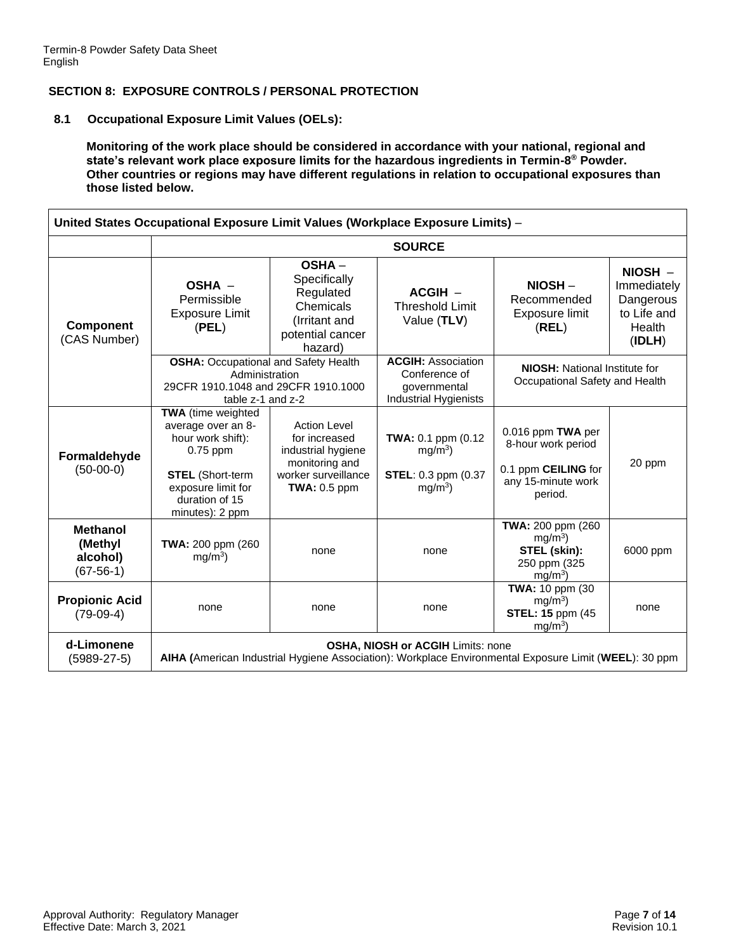## **SECTION 8: EXPOSURE CONTROLS / PERSONAL PROTECTION**

**8.1 Occupational Exposure Limit Values (OELs):**

**Monitoring of the work place should be considered in accordance with your national, regional and state's relevant work place exposure limits for the hazardous ingredients in Termin-8 ® Powder. Other countries or regions may have different regulations in relation to occupational exposures than those listed below.**

| United States Occupational Exposure Limit Values (Workplace Exposure Limits) - |                                                                                                                                                                          |                                                                                                                       |                                                                                     |                                                                                                 |                                                                          |
|--------------------------------------------------------------------------------|--------------------------------------------------------------------------------------------------------------------------------------------------------------------------|-----------------------------------------------------------------------------------------------------------------------|-------------------------------------------------------------------------------------|-------------------------------------------------------------------------------------------------|--------------------------------------------------------------------------|
|                                                                                |                                                                                                                                                                          |                                                                                                                       | <b>SOURCE</b>                                                                       |                                                                                                 |                                                                          |
| <b>Component</b><br>(CAS Number)                                               | OSHA -<br>Permissible<br><b>Exposure Limit</b><br>(PEL)                                                                                                                  | <b>OSHA-</b><br>Specifically<br>Regulated<br>Chemicals<br>(Irritant and<br>potential cancer<br>hazard)                | $ACGIH -$<br><b>Threshold Limit</b><br>Value (TLV)                                  | $NIOSH -$<br>Recommended<br>Exposure limit<br>(REL)                                             | $NIOSH -$<br>Immediately<br>Dangerous<br>to Life and<br>Health<br>(IDLH) |
|                                                                                | <b>OSHA: Occupational and Safety Health</b><br>Administration<br>29CFR 1910.1048 and 29CFR 1910.1000<br>table z-1 and z-2                                                |                                                                                                                       | <b>ACGIH: Association</b><br>Conference of<br>governmental<br>Industrial Hygienists | <b>NIOSH:</b> National Institute for<br>Occupational Safety and Health                          |                                                                          |
| Formaldehyde<br>$(50-00-0)$                                                    | <b>TWA</b> (time weighted<br>average over an 8-<br>hour work shift):<br>$0.75$ ppm<br><b>STEL</b> (Short-term<br>exposure limit for<br>duration of 15<br>minutes): 2 ppm | <b>Action Level</b><br>for increased<br>industrial hygiene<br>monitoring and<br>worker surveillance<br>$TWA: 0.5$ ppm | TWA: 0.1 ppm (0.12<br>$mg/m3$ )<br><b>STEL: 0.3 ppm (0.37)</b><br>$mg/m3$ )         | 0.016 ppm TWA per<br>8-hour work period<br>0.1 ppm CEILING for<br>any 15-minute work<br>period. | 20 ppm                                                                   |
| <b>Methanol</b><br>(Methyl<br>alcohol)<br>$(67-56-1)$                          | TWA: 200 ppm (260<br>$mg/m3$ )                                                                                                                                           | none                                                                                                                  | none                                                                                | TWA: 200 ppm (260)<br>$mg/m3$ )<br>STEL (skin):<br>250 ppm (325<br>$mg/m3$ )                    | 6000 ppm                                                                 |
| <b>Propionic Acid</b><br>$(79-09-4)$                                           | none                                                                                                                                                                     | none                                                                                                                  | none                                                                                | TWA: 10 ppm (30<br>mq/m <sup>3</sup><br><b>STEL: 15 ppm (45)</b><br>mg/m <sup>3</sup>           | none                                                                     |
| d-Limonene<br>$(5989-27-5)$                                                    | <b>OSHA, NIOSH or ACGIH Limits: none</b><br>AIHA (American Industrial Hygiene Association): Workplace Environmental Exposure Limit (WEEL): 30 ppm                        |                                                                                                                       |                                                                                     |                                                                                                 |                                                                          |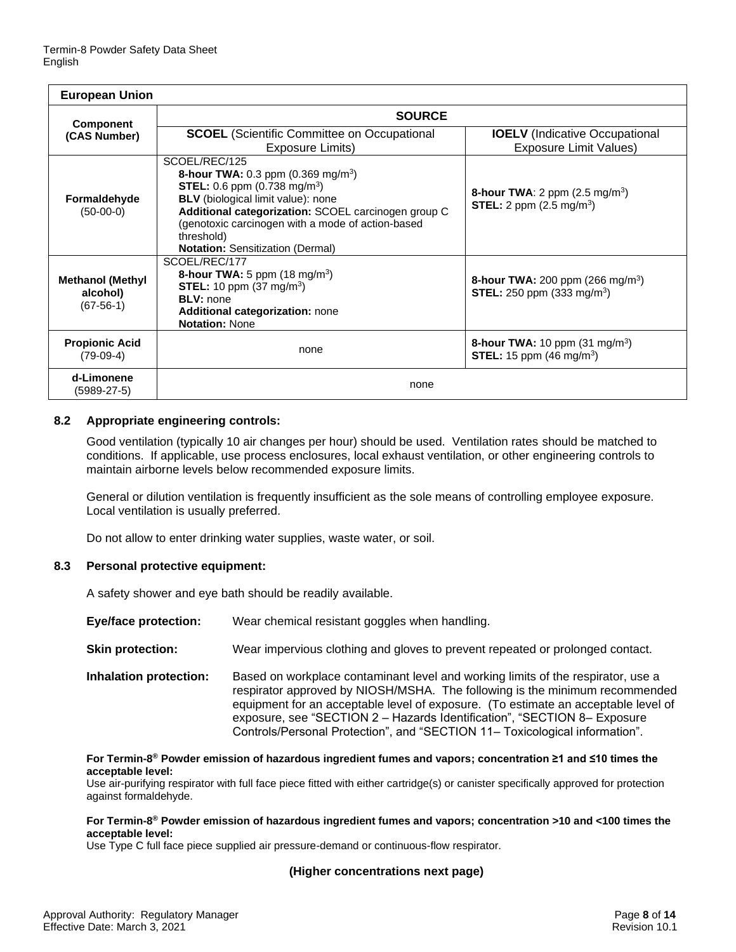| <b>European Union</b>                              |                                                                                                                                                                                                                                                                                                                           |                                                                                                      |  |  |  |
|----------------------------------------------------|---------------------------------------------------------------------------------------------------------------------------------------------------------------------------------------------------------------------------------------------------------------------------------------------------------------------------|------------------------------------------------------------------------------------------------------|--|--|--|
| Component                                          | <b>SOURCE</b>                                                                                                                                                                                                                                                                                                             |                                                                                                      |  |  |  |
| (CAS Number)                                       | <b>SCOEL</b> (Scientific Committee on Occupational<br>Exposure Limits)                                                                                                                                                                                                                                                    | <b>IOELV</b> (Indicative Occupational<br>Exposure Limit Values)                                      |  |  |  |
| Formaldehyde<br>$(50-00-0)$                        | SCOEL/REC/125<br><b>8-hour TWA:</b> 0.3 ppm $(0.369 \text{ mg/m}^3)$<br><b>STEL:</b> 0.6 ppm $(0.738 \text{ mg/m}^3)$<br>BLV (biological limit value): none<br>Additional categorization: SCOEL carcinogen group C<br>(genotoxic carcinogen with a mode of action-based<br>threshold)<br>Notation: Sensitization (Dermal) | <b>8-hour TWA:</b> 2 ppm $(2.5 \text{ mg/m}^3)$<br><b>STEL:</b> 2 ppm $(2.5 \text{ mg/m}^3)$         |  |  |  |
| <b>Methanol (Methyl</b><br>alcohol)<br>$(67-56-1)$ | SCOEL/REC/177<br><b>8-hour TWA:</b> 5 ppm $(18 \text{ mg/m}^3)$<br><b>STEL:</b> 10 ppm $(37 \text{ mg/m}^3)$<br><b>BLV:</b> none<br>Additional categorization: none<br><b>Notation: None</b>                                                                                                                              | <b>8-hour TWA:</b> 200 ppm (266 mg/m <sup>3</sup> )<br><b>STEL:</b> 250 ppm (333 mg/m <sup>3</sup> ) |  |  |  |
| <b>Propionic Acid</b><br>$(79-09-4)$               | none                                                                                                                                                                                                                                                                                                                      | <b>8-hour TWA:</b> 10 ppm $(31 \text{ mg/m}^3)$<br><b>STEL:</b> 15 ppm $(46 \text{ mg/m}^3)$         |  |  |  |
| d-Limonene<br>$(5989-27-5)$                        | none                                                                                                                                                                                                                                                                                                                      |                                                                                                      |  |  |  |

### **8.2 Appropriate engineering controls:**

Good ventilation (typically 10 air changes per hour) should be used. Ventilation rates should be matched to conditions. If applicable, use process enclosures, local exhaust ventilation, or other engineering controls to maintain airborne levels below recommended exposure limits.

General or dilution ventilation is frequently insufficient as the sole means of controlling employee exposure. Local ventilation is usually preferred.

Do not allow to enter drinking water supplies, waste water, or soil.

#### **8.3 Personal protective equipment:**

A safety shower and eye bath should be readily available.

| <b>Eye/face protection:</b> | Wear chemical resistant goggles when handling.                                                                                                                                                                                                                                                                                                                                                                   |
|-----------------------------|------------------------------------------------------------------------------------------------------------------------------------------------------------------------------------------------------------------------------------------------------------------------------------------------------------------------------------------------------------------------------------------------------------------|
| <b>Skin protection:</b>     | Wear impervious clothing and gloves to prevent repeated or prolonged contact.                                                                                                                                                                                                                                                                                                                                    |
| Inhalation protection:      | Based on workplace contaminant level and working limits of the respirator, use a<br>respirator approved by NIOSH/MSHA. The following is the minimum recommended<br>equipment for an acceptable level of exposure. (To estimate an acceptable level of<br>exposure, see "SECTION 2 - Hazards Identification", "SECTION 8- Exposure<br>Controls/Personal Protection", and "SECTION 11- Toxicological information". |

**For Termin-8 ® Powder emission of hazardous ingredient fumes and vapors; concentration ≥1 and ≤10 times the acceptable level:**

Use air-purifying respirator with full face piece fitted with either cartridge(s) or canister specifically approved for protection against formaldehyde.

#### **For Termin-8 ® Powder emission of hazardous ingredient fumes and vapors; concentration >10 and <100 times the acceptable level:**

Use Type C full face piece supplied air pressure-demand or continuous-flow respirator.

#### **(Higher concentrations next page)**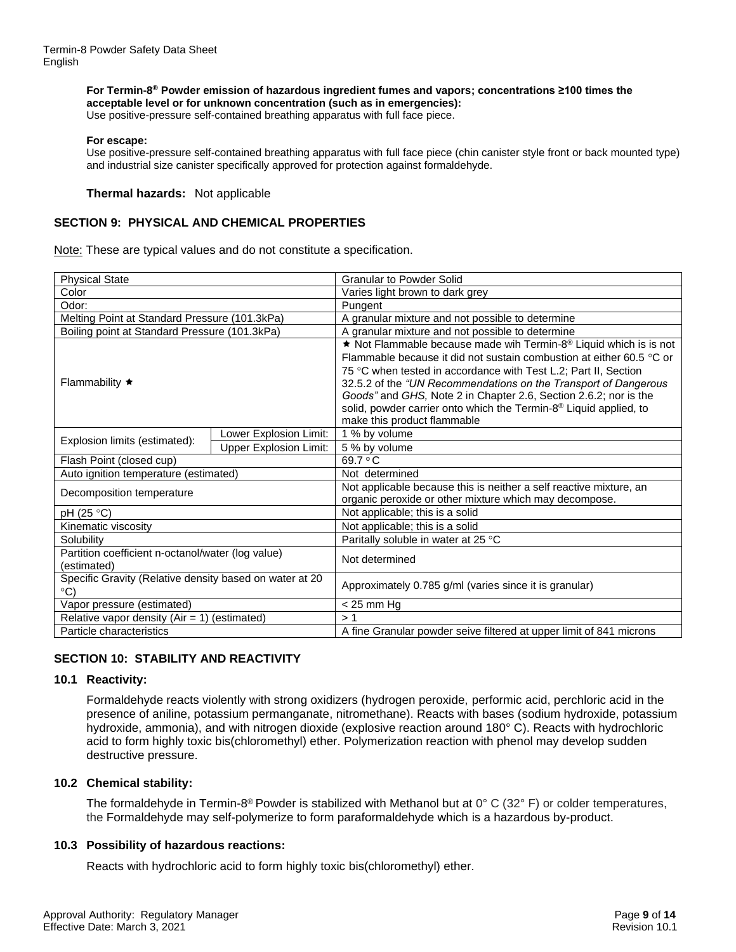#### **For Termin-8 ® Powder emission of hazardous ingredient fumes and vapors; concentrations ≥100 times the acceptable level or for unknown concentration (such as in emergencies):** Use positive-pressure self-contained breathing apparatus with full face piece.

#### **For escape:**

Use positive-pressure self-contained breathing apparatus with full face piece (chin canister style front or back mounted type) and industrial size canister specifically approved for protection against formaldehyde.

#### **Thermal hazards:** Not applicable

#### **SECTION 9: PHYSICAL AND CHEMICAL PROPERTIES**

Note: These are typical values and do not constitute a specification.

| <b>Physical State</b>                                                    |                               | <b>Granular to Powder Solid</b>                                                                                                                                                                                                                                                                                                                                        |  |  |
|--------------------------------------------------------------------------|-------------------------------|------------------------------------------------------------------------------------------------------------------------------------------------------------------------------------------------------------------------------------------------------------------------------------------------------------------------------------------------------------------------|--|--|
| Color                                                                    |                               | Varies light brown to dark grey                                                                                                                                                                                                                                                                                                                                        |  |  |
| Odor:                                                                    |                               | Pungent                                                                                                                                                                                                                                                                                                                                                                |  |  |
| Melting Point at Standard Pressure (101.3kPa)                            |                               | A granular mixture and not possible to determine                                                                                                                                                                                                                                                                                                                       |  |  |
| Boiling point at Standard Pressure (101.3kPa)                            |                               | A granular mixture and not possible to determine                                                                                                                                                                                                                                                                                                                       |  |  |
| Flammability $\star$                                                     |                               | Not Flammable because made wih Termin-8 <sup>®</sup> Liquid which is is not<br>Flammable because it did not sustain combustion at either 60.5 $\degree$ C or<br>75 °C when tested in accordance with Test L.2; Part II, Section<br>32.5.2 of the "UN Recommendations on the Transport of Dangerous<br>Goods" and GHS, Note 2 in Chapter 2.6, Section 2.6.2; nor is the |  |  |
|                                                                          |                               | solid, powder carrier onto which the Termin-8 <sup>®</sup> Liquid applied, to<br>make this product flammable                                                                                                                                                                                                                                                           |  |  |
|                                                                          | Lower Explosion Limit:        | 1 % by volume                                                                                                                                                                                                                                                                                                                                                          |  |  |
| Explosion limits (estimated):                                            | <b>Upper Explosion Limit:</b> | 5 % by volume                                                                                                                                                                                                                                                                                                                                                          |  |  |
| Flash Point (closed cup)                                                 |                               | 69.7 °C                                                                                                                                                                                                                                                                                                                                                                |  |  |
| Auto ignition temperature (estimated)                                    |                               | Not determined                                                                                                                                                                                                                                                                                                                                                         |  |  |
| Decomposition temperature                                                |                               | Not applicable because this is neither a self reactive mixture, an<br>organic peroxide or other mixture which may decompose.                                                                                                                                                                                                                                           |  |  |
| pH (25 °C)                                                               |                               | Not applicable; this is a solid                                                                                                                                                                                                                                                                                                                                        |  |  |
| Kinematic viscosity                                                      |                               | Not applicable; this is a solid                                                                                                                                                                                                                                                                                                                                        |  |  |
| Solubility                                                               |                               | Paritally soluble in water at 25 °C                                                                                                                                                                                                                                                                                                                                    |  |  |
| Partition coefficient n-octanol/water (log value)<br>(estimated)         |                               | Not determined                                                                                                                                                                                                                                                                                                                                                         |  |  |
| Specific Gravity (Relative density based on water at 20<br>$^{\circ}$ C) |                               | Approximately 0.785 g/ml (varies since it is granular)                                                                                                                                                                                                                                                                                                                 |  |  |
| Vapor pressure (estimated)                                               |                               | $<$ 25 mm Hg                                                                                                                                                                                                                                                                                                                                                           |  |  |
| Relative vapor density $(Air = 1)$ (estimated)                           |                               | >1                                                                                                                                                                                                                                                                                                                                                                     |  |  |
| Particle characteristics                                                 |                               | A fine Granular powder seive filtered at upper limit of 841 microns                                                                                                                                                                                                                                                                                                    |  |  |

# **SECTION 10: STABILITY AND REACTIVITY**

#### **10.1 Reactivity:**

Formaldehyde reacts violently with strong oxidizers (hydrogen peroxide, performic acid, perchloric acid in the presence of aniline, potassium permanganate, nitromethane). Reacts with bases (sodium hydroxide, potassium hydroxide, ammonia), and with nitrogen dioxide (explosive reaction around 180° C). Reacts with hydrochloric acid to form highly toxic bis(chloromethyl) ether. Polymerization reaction with phenol may develop sudden destructive pressure.

#### **10.2 Chemical stability:**

The formaldehyde in Termin-8® Powder is stabilized with Methanol but at 0° C (32° F) or colder temperatures, the Formaldehyde may self-polymerize to form paraformaldehyde which is a hazardous by-product.

#### **10.3 Possibility of hazardous reactions:**

Reacts with hydrochloric acid to form highly toxic bis(chloromethyl) ether.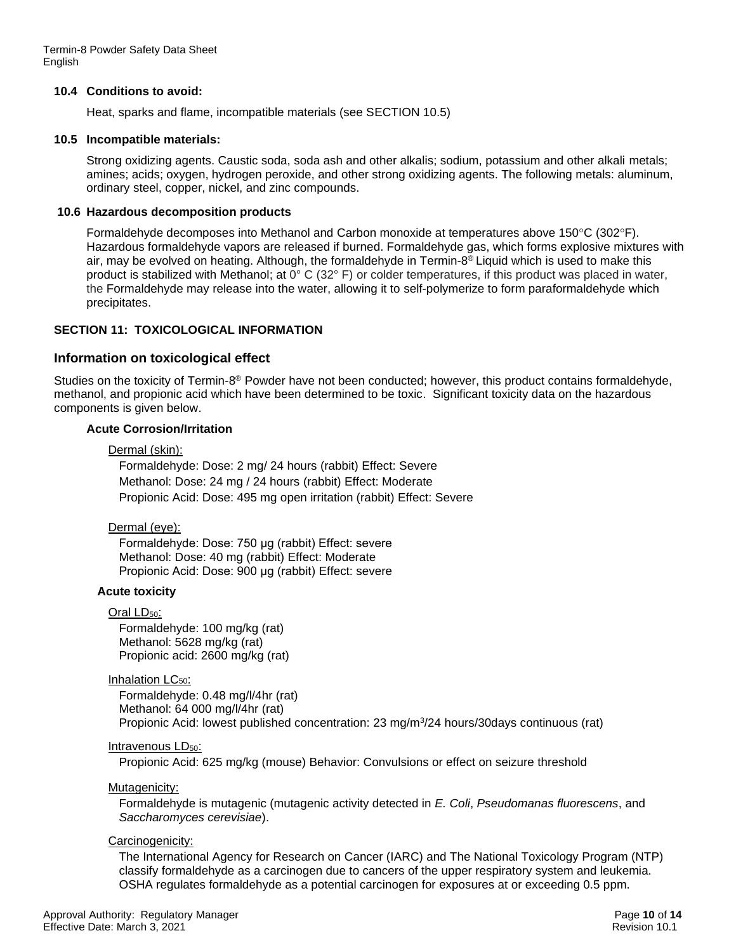Termin-8 Powder Safety Data Sheet English

#### **10.4 Conditions to avoid:**

Heat, sparks and flame, incompatible materials (see SECTION 10.5)

#### **10.5 Incompatible materials:**

Strong oxidizing agents. Caustic soda, soda ash and other alkalis; sodium, potassium and other alkali metals; amines; acids; oxygen, hydrogen peroxide, and other strong oxidizing agents. The following metals: aluminum, ordinary steel, copper, nickel, and zinc compounds.

### **10.6 Hazardous decomposition products**

Formaldehyde decomposes into Methanol and Carbon monoxide at temperatures above 150 $\degree$ C (302 $\degree$ F). Hazardous formaldehyde vapors are released if burned. Formaldehyde gas, which forms explosive mixtures with air, may be evolved on heating. Although, the formaldehyde in Termin-8 ® Liquid which is used to make this product is stabilized with Methanol; at 0° C (32° F) or colder temperatures, if this product was placed in water, the Formaldehyde may release into the water, allowing it to self-polymerize to form paraformaldehyde which precipitates.

# **SECTION 11: TOXICOLOGICAL INFORMATION**

# **Information on toxicological effect**

Studies on the toxicity of Termin-8<sup>®</sup> Powder have not been conducted; however, this product contains formaldehyde, methanol, and propionic acid which have been determined to be toxic. Significant toxicity data on the hazardous components is given below.

#### **Acute Corrosion/Irritation**

#### Dermal (skin):

Formaldehyde: Dose: 2 mg/ 24 hours (rabbit) Effect: Severe Methanol: Dose: 24 mg / 24 hours (rabbit) Effect: Moderate Propionic Acid: Dose: 495 mg open irritation (rabbit) Effect: Severe

#### Dermal (eye):

Formaldehyde: Dose: 750 μg (rabbit) Effect: severe Methanol: Dose: 40 mg (rabbit) Effect: Moderate Propionic Acid: Dose: 900 μg (rabbit) Effect: severe

# **Acute toxicity**

Oral LD<sub>50</sub>: Formaldehyde: 100 mg/kg (rat) Methanol: 5628 mg/kg (rat) Propionic acid: 2600 mg/kg (rat)

#### Inhalation  $LC_{50}$ :

Formaldehyde: 0.48 mg/l/4hr (rat) Methanol: 64 000 mg/l/4hr (rat) Propionic Acid: lowest published concentration: 23 mg/m<sup>3</sup> /24 hours/30days continuous (rat)

#### Intravenous LD<sub>50</sub>:

Propionic Acid: 625 mg/kg (mouse) Behavior: Convulsions or effect on seizure threshold

Mutagenicity:

Formaldehyde is mutagenic (mutagenic activity detected in *E. Coli*, *Pseudomanas fluorescens*, and *Saccharomyces cerevisiae*).

#### Carcinogenicity:

The International Agency for Research on Cancer (IARC) and The National Toxicology Program (NTP) classify formaldehyde as a carcinogen due to cancers of the upper respiratory system and leukemia. OSHA regulates formaldehyde as a potential carcinogen for exposures at or exceeding 0.5 ppm.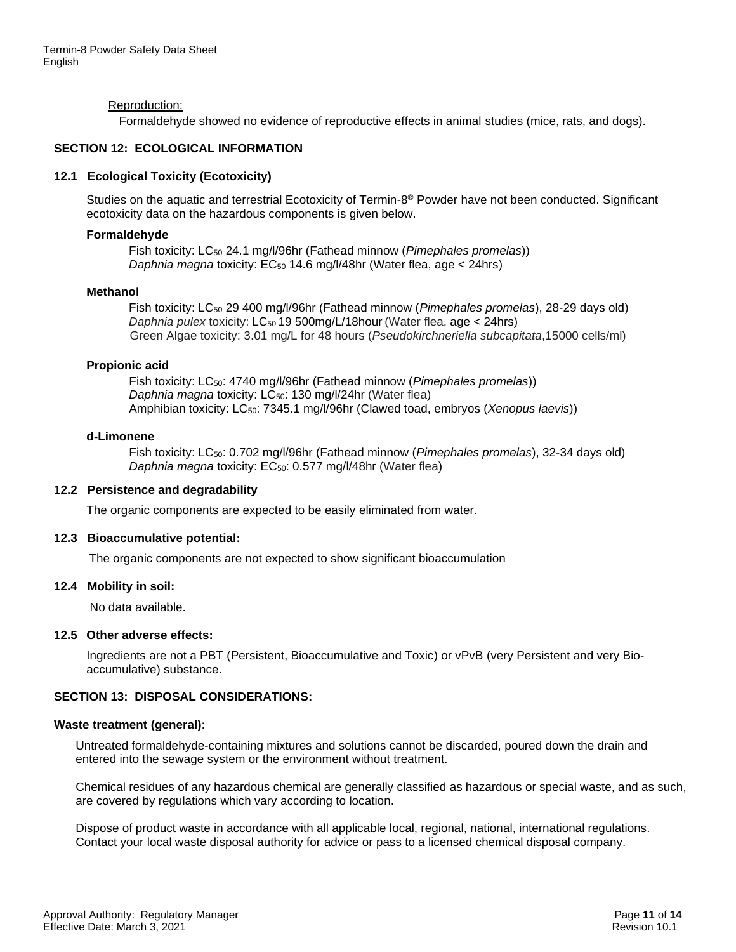#### Reproduction:

Formaldehyde showed no evidence of reproductive effects in animal studies (mice, rats, and dogs).

#### **SECTION 12: ECOLOGICAL INFORMATION**

#### **12.1 Ecological Toxicity (Ecotoxicity)**

Studies on the aquatic and terrestrial Ecotoxicity of Termin-8<sup>®</sup> Powder have not been conducted. Significant ecotoxicity data on the hazardous components is given below.

#### **Formaldehyde**

Fish toxicity: LC<sup>50</sup> 24.1 mg/l/96hr (Fathead minnow (*Pimephales promelas*)) *Daphnia magna* toxicity: EC<sup>50</sup> 14.6 mg/l/48hr (Water flea, age < 24hrs)

#### **Methanol**

Fish toxicity: LC<sup>50</sup> 29 400 mg/l/96hr (Fathead minnow (*Pimephales promelas*), 28-29 days old) *Daphnia pulex* toxicity: LC<sub>50</sub> 19 500mg/L/18hour (Water flea, age < 24hrs) Green Algae toxicity: 3.01 mg/L for 48 hours (*Pseudokirchneriella subcapitata*,15000 cells/ml)

#### **Propionic acid**

Fish toxicity: LC50: 4740 mg/l/96hr (Fathead minnow (*Pimephales promelas*)) *Daphnia magna* toxicity: LC<sub>50</sub>: 130 mg/l/24hr (Water flea) Amphibian toxicity: LC50: 7345.1 mg/l/96hr (Clawed toad, embryos (*Xenopus laevis*))

#### **d-Limonene**

Fish toxicity: LC50: 0.702 mg/l/96hr (Fathead minnow (*Pimephales promelas*), 32-34 days old) *Daphnia magna* toxicity: EC<sub>50</sub>: 0.577 mg/l/48hr (Water flea)

#### **12.2 Persistence and degradability**

The organic components are expected to be easily eliminated from water.

#### **12.3 Bioaccumulative potential:**

The organic components are not expected to show significant bioaccumulation

#### **12.4 Mobility in soil:**

No data available.

#### **12.5 Other adverse effects:**

Ingredients are not a PBT (Persistent, Bioaccumulative and Toxic) or vPvB (very Persistent and very Bioaccumulative) substance.

# **SECTION 13: DISPOSAL CONSIDERATIONS:**

#### **Waste treatment (general):**

Untreated formaldehyde-containing mixtures and solutions cannot be discarded, poured down the drain and entered into the sewage system or the environment without treatment.

Chemical residues of any hazardous chemical are generally classified as hazardous or special waste, and as such, are covered by regulations which vary according to location.

Dispose of product waste in accordance with all applicable local, regional, national, international regulations. Contact your local waste disposal authority for advice or pass to a licensed chemical disposal company.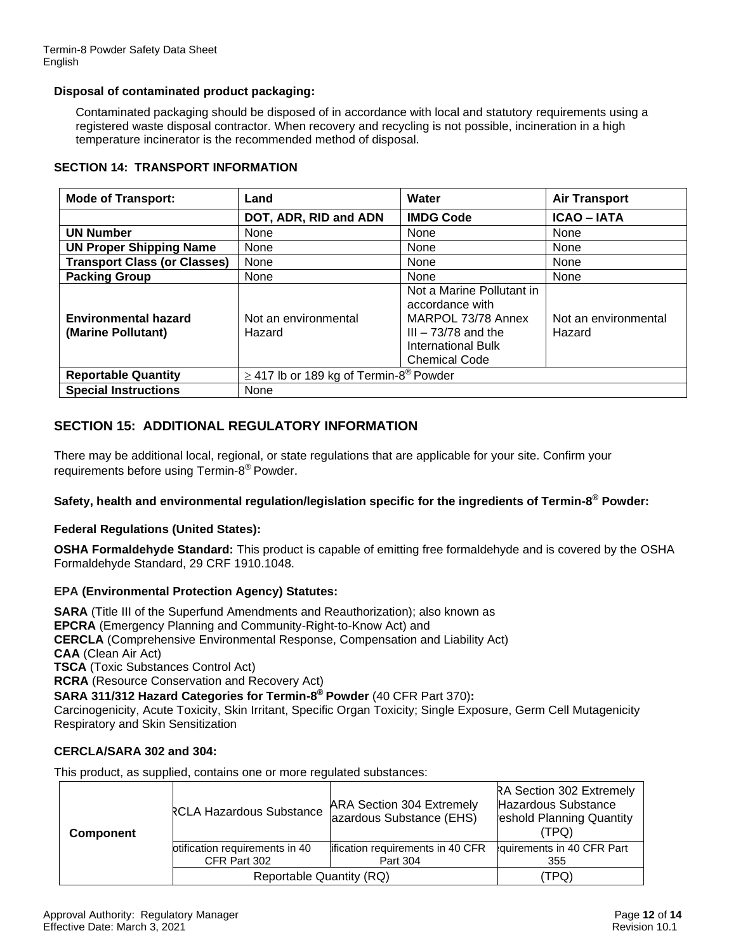### **Disposal of contaminated product packaging:**

Contaminated packaging should be disposed of in accordance with local and statutory requirements using a registered waste disposal contractor. When recovery and recycling is not possible, incineration in a high temperature incinerator is the recommended method of disposal.

| <b>SECTION 14: TRANSPORT INFORMATION</b> |
|------------------------------------------|
|------------------------------------------|

| <b>Mode of Transport:</b>                         | Water<br><b>Air Transport</b><br>Land                                                                                                                                                        |                  |                      |
|---------------------------------------------------|----------------------------------------------------------------------------------------------------------------------------------------------------------------------------------------------|------------------|----------------------|
|                                                   | DOT, ADR, RID and ADN                                                                                                                                                                        | <b>IMDG Code</b> | <b>ICAO - IATA</b>   |
| <b>UN Number</b>                                  | None                                                                                                                                                                                         | None             | None                 |
| <b>UN Proper Shipping Name</b>                    | None                                                                                                                                                                                         | None             | None                 |
| <b>Transport Class (or Classes)</b>               | None                                                                                                                                                                                         | None             | None                 |
| <b>Packing Group</b>                              | None                                                                                                                                                                                         | None             | None                 |
| <b>Environmental hazard</b><br>(Marine Pollutant) | Not a Marine Pollutant in<br>accordance with<br>MARPOL 73/78 Annex<br>Not an environmental<br>$III - 73/78$ and the<br>Hazard<br>Hazard<br><b>International Bulk</b><br><b>Chemical Code</b> |                  | Not an environmental |
| <b>Reportable Quantity</b>                        | $\geq$ 417 lb or 189 kg of Termin-8 <sup>®</sup> Powder                                                                                                                                      |                  |                      |
| <b>Special Instructions</b>                       | None                                                                                                                                                                                         |                  |                      |

# **SECTION 15: ADDITIONAL REGULATORY INFORMATION**

There may be additional local, regional, or state regulations that are applicable for your site. Confirm your requirements before using Termin-8<sup>®</sup> Powder.

# **Safety, health and environmental regulation/legislation specific for the ingredients of Termin-8 ® Powder:**

# **Federal Regulations (United States):**

**OSHA Formaldehyde Standard:** This product is capable of emitting free formaldehyde and is covered by the OSHA Formaldehyde Standard, 29 CRF 1910.1048.

#### **EPA (Environmental Protection Agency) Statutes:**

**SARA** (Title III of the Superfund Amendments and Reauthorization); also known as **EPCRA** (Emergency Planning and Community-Right-to-Know Act) and **CERCLA** (Comprehensive Environmental Response, Compensation and Liability Act) **CAA** (Clean Air Act) **TSCA** (Toxic Substances Control Act) **RCRA** (Resource Conservation and Recovery Act) **SARA 311/312 Hazard Categories for Termin-8 ® Powder** (40 CFR Part 370)**:**

Carcinogenicity, Acute Toxicity, Skin Irritant, Specific Organ Toxicity; Single Exposure, Germ Cell Mutagenicity Respiratory and Skin Sensitization

#### **CERCLA/SARA 302 and 304:**

This product, as supplied, contains one or more regulated substances:

| <b>Component</b> | <b>RCLA Hazardous Substance</b>                | <b>ARA Section 304 Extremely</b><br>lazardous Substance (EHS) | RA Section 302 Extremely<br>Hazardous Substance<br>eshold Planning Quantity<br>(TPQ) |
|------------------|------------------------------------------------|---------------------------------------------------------------|--------------------------------------------------------------------------------------|
|                  | otification requirements in 40<br>CFR Part 302 | lification requirements in 40 CFR<br>Part 304                 | guirements in 40 CFR Part<br>355                                                     |
|                  | Reportable Quantity (RQ)                       | TPQ)                                                          |                                                                                      |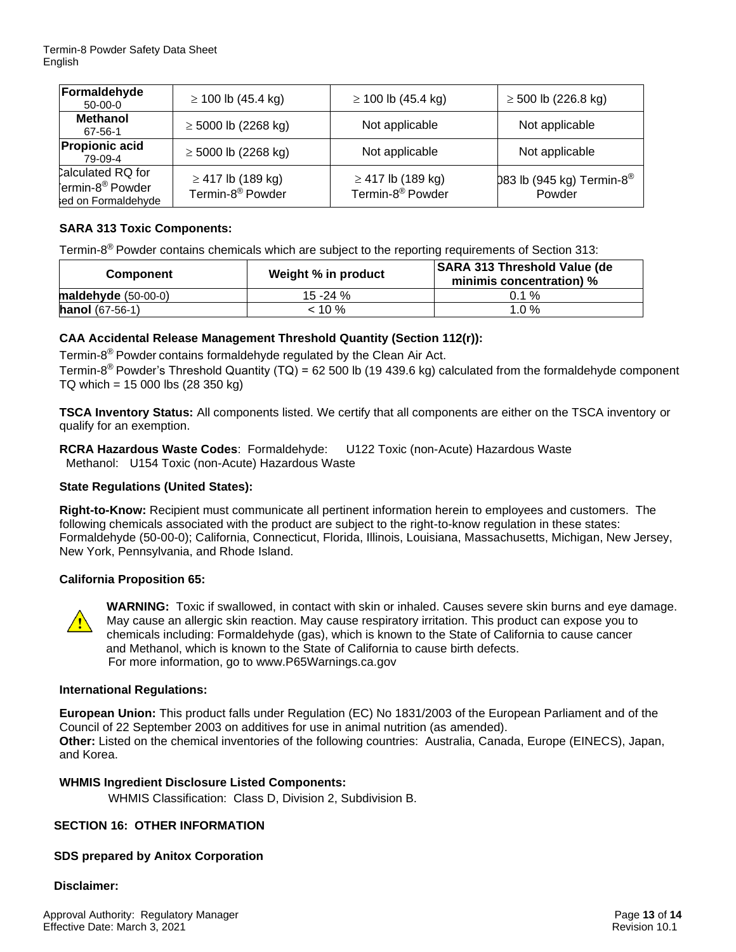| Formaldehyde<br>$50-00-0$                                              | $\geq$ 100 lb (45.4 kg)                                | $\geq$ 100 lb (45.4 kg)                                | $\geq$ 500 lb (226.8 kg)                        |
|------------------------------------------------------------------------|--------------------------------------------------------|--------------------------------------------------------|-------------------------------------------------|
| <b>Methanol</b><br>67-56-1                                             | $\geq$ 5000 lb (2268 kg)                               | Not applicable                                         | Not applicable                                  |
| <b>Propionic acid</b><br>79-09-4                                       | $\geq$ 5000 lb (2268 kg)                               | Not applicable                                         | Not applicable                                  |
| calculated RQ for<br>ermin-8 <sup>®</sup> Powder<br>ed on Formaldehyde | $\geq$ 417 lb (189 kg)<br>Termin-8 <sup>®</sup> Powder | $\geq$ 417 lb (189 kg)<br>Termin-8 <sup>®</sup> Powder | 083 lb (945 kg) Termin-8 <sup>®</sup><br>Powder |

# **SARA 313 Toxic Components:**

Termin-8<sup>®</sup> Powder contains chemicals which are subject to the reporting requirements of Section 313:

| <b>Component</b>         | Weight % in product | <b>SARA 313 Threshold Value (de</b><br>minimis concentration) % |
|--------------------------|---------------------|-----------------------------------------------------------------|
| maldehyde $(50-00-0)$    | 15 -24 %            | $0.1 \%$                                                        |
| <b>hanol</b> $(67-56-1)$ | $< 10 \%$           | $1.0 \%$                                                        |

# **CAA Accidental Release Management Threshold Quantity (Section 112(r)):**

Termin-8 ® Powder contains formaldehyde regulated by the Clean Air Act.

Termin-8<sup>®</sup> Powder's Threshold Quantity (TQ) = 62 500 lb (19 439.6 kg) calculated from the formaldehyde component TQ which = 15 000 lbs (28 350 kg)

**TSCA Inventory Status:** All components listed. We certify that all components are either on the TSCA inventory or qualify for an exemption.

**RCRA Hazardous Waste Codes**: Formaldehyde: U122 Toxic (non-Acute) Hazardous Waste Methanol: U154 Toxic (non-Acute) Hazardous Waste

# **State Regulations (United States):**

**Right-to-Know:** Recipient must communicate all pertinent information herein to employees and customers. The following chemicals associated with the product are subject to the right-to-know regulation in these states: Formaldehyde (50-00-0); California, Connecticut, Florida, Illinois, Louisiana, Massachusetts, Michigan, New Jersey, New York, Pennsylvania, and Rhode Island.

# **California Proposition 65:**



**WARNING:** Toxic if swallowed, in contact with skin or inhaled. Causes severe skin burns and eye damage. May cause an allergic skin reaction. May cause respiratory irritation. This product can expose you to chemicals including: Formaldehyde (gas), which is known to the State of California to cause cancer and Methanol, which is known to the State of California to cause birth defects. For more information, go to www.P65Warnings.ca.gov

#### **International Regulations:**

**European Union:** This product falls under Regulation (EC) No 1831/2003 of the European Parliament and of the Council of 22 September 2003 on additives for use in animal nutrition (as amended). **Other:** Listed on the chemical inventories of the following countries: Australia, Canada, Europe (EINECS), Japan, and Korea.

# **WHMIS Ingredient Disclosure Listed Components:**

WHMIS Classification: Class D, Division 2, Subdivision B.

# **SECTION 16: OTHER INFORMATION**

# **SDS prepared by Anitox Corporation**

**Disclaimer:**